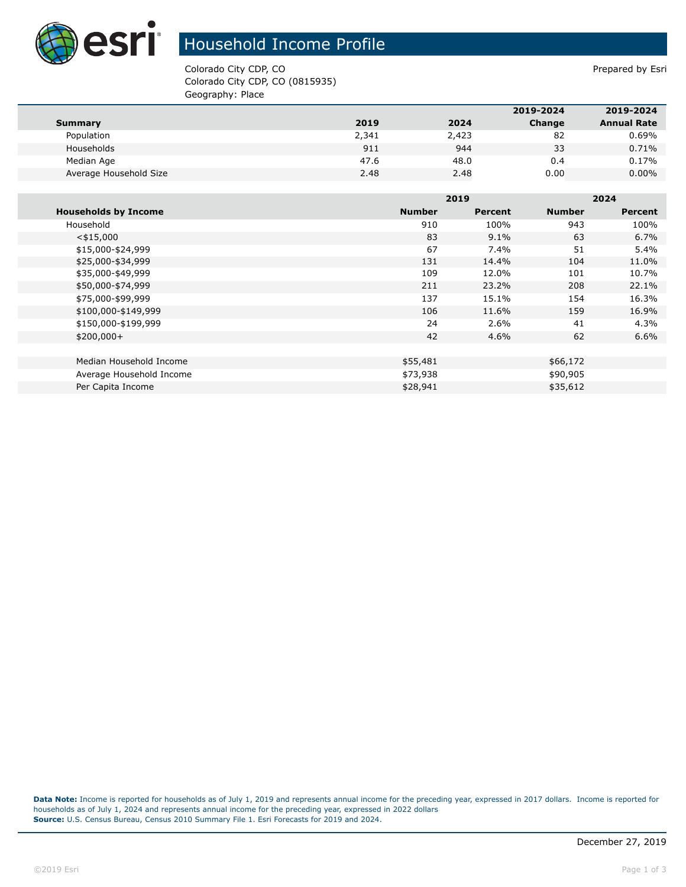

## Household Income Profile

Colorado City CDP, CO **Prepared by Estimate 2** Colorado City CDP, CO Colorado City CDP, CO (0815935) Geography: Place

|                        |       |       | 2019-2024 | 2019-2024          |
|------------------------|-------|-------|-----------|--------------------|
| Summary                | 2019  | 2024  | Change    | <b>Annual Rate</b> |
| Population             | 2,341 | 2,423 | 82        | 0.69%              |
| Households             | 911   | 944   | 33        | 0.71%              |
| Median Age             | 47.6  | 48.0  | 0.4       | 0.17%              |
| Average Household Size | 2.48  | 2.48  | 0.00      | $0.00\%$           |

|                             |               | 2019           |               | 2024           |  |
|-----------------------------|---------------|----------------|---------------|----------------|--|
| <b>Households by Income</b> | <b>Number</b> | <b>Percent</b> | <b>Number</b> | <b>Percent</b> |  |
| Household                   | 910           | 100%           | 943           | 100%           |  |
| $<$ \$15,000                | 83            | $9.1\%$        | 63            | 6.7%           |  |
| \$15,000-\$24,999           | 67            | 7.4%           | 51            | 5.4%           |  |
| \$25,000-\$34,999           | 131           | 14.4%          | 104           | 11.0%          |  |
| \$35,000-\$49,999           | 109           | 12.0%          | 101           | 10.7%          |  |
| \$50,000-\$74,999           | 211           | 23.2%          | 208           | 22.1%          |  |
| \$75,000-\$99,999           | 137           | 15.1%          | 154           | 16.3%          |  |
| \$100,000-\$149,999         | 106           | 11.6%          | 159           | 16.9%          |  |
| \$150,000-\$199,999         | 24            | 2.6%           | 41            | 4.3%           |  |
| $$200,000+$                 | 42            | $4.6\%$        | 62            | 6.6%           |  |
|                             |               |                |               |                |  |
| Median Household Income     | \$55,481      |                | \$66,172      |                |  |
| Average Household Income    | \$73,938      |                | \$90,905      |                |  |
| Per Capita Income           | \$28,941      |                | \$35,612      |                |  |

**Data Note:** Income is reported for households as of July 1, 2019 and represents annual income for the preceding year, expressed in 2017 dollars. Income is reported for households as of July 1, 2024 and represents annual income for the preceding year, expressed in 2022 dollars **Source:** U.S. Census Bureau, Census 2010 Summary File 1. Esri Forecasts for 2019 and 2024.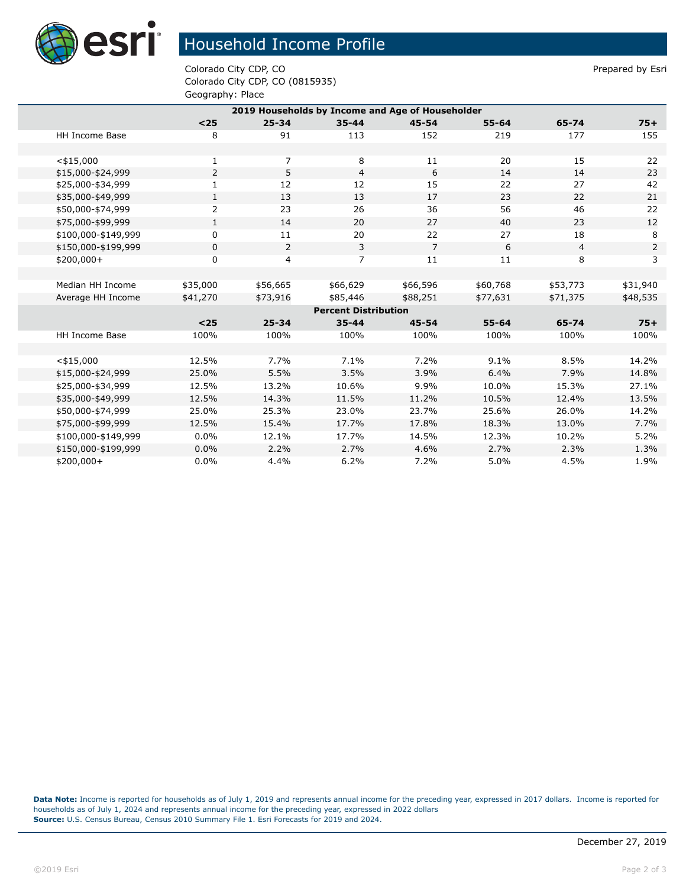

## Household Income Profile

Colorado City CDP, CO **Prepared by Estimate 2** Colorado City CDP, CO Colorado City CDP, CO (0815935) Geography: Place

| 2019 Households by Income and Age of Householder |                |                |                |                |           |                |                |  |
|--------------------------------------------------|----------------|----------------|----------------|----------------|-----------|----------------|----------------|--|
|                                                  | $25$           | $25 - 34$      | $35 - 44$      | $45 - 54$      | $55 - 64$ | 65-74          | $75+$          |  |
| <b>HH Income Base</b>                            | 8              | 91             | 113            | 152            | 219       | 177            | 155            |  |
|                                                  |                |                |                |                |           |                |                |  |
| $<$ \$15,000                                     | 1              | $\overline{7}$ | 8              | 11             | 20        | 15             | 22             |  |
| \$15,000-\$24,999                                | $\overline{2}$ | 5              | $\overline{4}$ | 6              | 14        | 14             | 23             |  |
| \$25,000-\$34,999                                | 1              | 12             | 12             | 15             | 22        | 27             | 42             |  |
| \$35,000-\$49,999                                | $\mathbf{1}$   | 13             | 13             | 17             | 23        | 22             | 21             |  |
| \$50,000-\$74,999                                | 2              | 23             | 26             | 36             | 56        | 46             | 22             |  |
| \$75,000-\$99,999                                | $\mathbf{1}$   | 14             | 20             | 27             | 40        | 23             | 12             |  |
| \$100,000-\$149,999                              | 0              | 11             | 20             | 22             | 27        | 18             | 8              |  |
| \$150,000-\$199,999                              | 0              | 2              | 3              | $\overline{7}$ | 6         | $\overline{4}$ | $\overline{2}$ |  |
| \$200,000+                                       | $\mathbf 0$    | 4              | $\overline{7}$ | 11             | 11        | 8              | 3              |  |
|                                                  |                |                |                |                |           |                |                |  |
| Median HH Income                                 | \$35,000       | \$56,665       | \$66,629       | \$66,596       | \$60,768  | \$53,773       | \$31,940       |  |
| Average HH Income                                | \$41,270       | \$73,916       | \$85,446       | \$88,251       | \$77,631  | \$71,375       | \$48,535       |  |
| <b>Percent Distribution</b>                      |                |                |                |                |           |                |                |  |
|                                                  | $25$           | $25 - 34$      | $35 - 44$      | $45 - 54$      | $55 - 64$ | 65-74          | $75+$          |  |
| HH Income Base                                   | 100%           | 100%           | 100%           | 100%           | 100%      | 100%           | 100%           |  |
|                                                  |                |                |                |                |           |                |                |  |
| $<$ \$15,000                                     | 12.5%          | 7.7%           | 7.1%           | 7.2%           | 9.1%      | 8.5%           | 14.2%          |  |
| \$15,000-\$24,999                                | 25.0%          | 5.5%           | 3.5%           | 3.9%           | 6.4%      | 7.9%           | 14.8%          |  |
| \$25,000-\$34,999                                | 12.5%          | 13.2%          | 10.6%          | 9.9%           | 10.0%     | 15.3%          | 27.1%          |  |
| \$35,000-\$49,999                                | 12.5%          | 14.3%          | 11.5%          | 11.2%          | 10.5%     | 12.4%          | 13.5%          |  |
| \$50,000-\$74,999                                | 25.0%          | 25.3%          | 23.0%          | 23.7%          | 25.6%     | 26.0%          | 14.2%          |  |
| \$75,000-\$99,999                                | 12.5%          | 15.4%          | 17.7%          | 17.8%          | 18.3%     | 13.0%          | 7.7%           |  |
| \$100,000-\$149,999                              | 0.0%           | 12.1%          | 17.7%          | 14.5%          | 12.3%     | 10.2%          | 5.2%           |  |
| \$150,000-\$199,999                              | 0.0%           | 2.2%           | 2.7%           | 4.6%           | 2.7%      | 2.3%           | 1.3%           |  |
| \$200,000+                                       | 0.0%           | 4.4%           | 6.2%           | 7.2%           | 5.0%      | 4.5%           | 1.9%           |  |

**Data Note:** Income is reported for households as of July 1, 2019 and represents annual income for the preceding year, expressed in 2017 dollars. Income is reported for households as of July 1, 2024 and represents annual income for the preceding year, expressed in 2022 dollars **Source:** U.S. Census Bureau, Census 2010 Summary File 1. Esri Forecasts for 2019 and 2024.